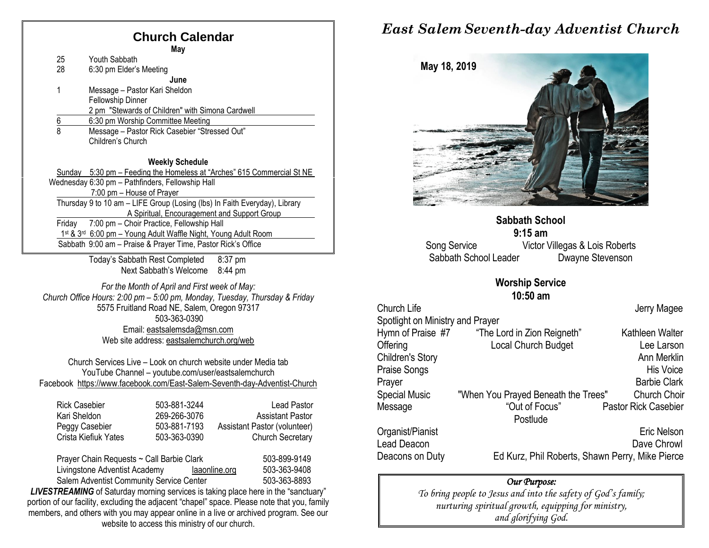# **Church Calendar**

|               | <b>May</b>                                                                 |
|---------------|----------------------------------------------------------------------------|
| 25            | Youth Sabbath                                                              |
| 28            | 6:30 pm Elder's Meeting                                                    |
|               | June                                                                       |
| 1             | Message – Pastor Kari Sheldon                                              |
|               | <b>Fellowship Dinner</b>                                                   |
|               | 2 pm "Stewards of Children" with Simona Cardwell                           |
| $\frac{6}{8}$ | 6:30 pm Worship Committee Meeting                                          |
|               | Message - Pastor Rick Casebier "Stressed Out"                              |
|               | Children's Church                                                          |
|               |                                                                            |
|               | <b>Weekly Schedule</b>                                                     |
|               | Sunday 5:30 pm - Feeding the Homeless at "Arches" 615 Commercial St NE     |
|               | Wednesday 6:30 pm - Pathfinders, Fellowship Hall                           |
|               | 7:00 pm - House of Prayer                                                  |
|               | Thursday 9 to 10 am - LIFE Group (Losing (lbs) In Faith Everyday), Library |
|               | A Spiritual, Encouragement and Support Group                               |
| Fridav        | 7:00 pm - Choir Practice, Fellowship Hall                                  |
|               | 1st & 3rd 6:00 pm - Young Adult Waffle Night, Young Adult Room             |
|               | Sabbath 9:00 am - Praise & Prayer Time, Pastor Rick's Office               |
|               |                                                                            |

Today's Sabbath Rest Completed 8:37 pm Next Sabbath's Welcome 8:44 pm

*For the Month of April and First week of May: Church Office Hours: 2:00 pm – 5:00 pm, Monday, Tuesday, Thursday & Friday* 5575 Fruitland Road NE, Salem, Oregon 97317 503-363-0390 Email: [eastsalemsda@msn.com](mailto:eastsalemsda@msn.com) Web site address[: eastsalemchurch.org/w](http://eastsalem.adventists.info/)eb

Church Services Live – Look on church website under Media tab YouTube Channel – youtube.com/user/eastsalemchurch Facebook [https://www.facebook.com/East-Salem-Seventh-day-Adventist-Church](https://www.facebook.com/East-Salem-Seventh-day-Adventist-Church-111402832212994/?fref=ts)

| <b>Rick Casebier</b> | 503-881-3244 | <b>Lead Pastor</b>           |
|----------------------|--------------|------------------------------|
| Kari Sheldon         | 269-266-3076 | <b>Assistant Pastor</b>      |
| Peggy Casebier       | 503-881-7193 | Assistant Pastor (volunteer) |
| Crista Kiefiuk Yates | 503-363-0390 | <b>Church Secretary</b>      |
|                      |              |                              |

Prayer Chain Requests ~ Call Barbie Clark 503-899-9149 Livingstone Adventist Academy [laaonline.org](http://www.laa.info/) 503-363-9408 Salem Adventist Community Service Center 503-363-8893

**LIVESTREAMING** of Saturday morning services is taking place here in the "sanctuary" portion of our facility, excluding the adjacent "chapel" space. Please note that you, family members, and others with you may appear online in a live or archived program. See our website to access this ministry of our church.

## *East Salem Seventh-day Adventist Church*



**Sabbath School 9:15 am** Song Service **Victor Villegas & Lois Roberts** Sabbath School Leader Dwayne Stevenson

#### **Worship Service**

**10:50 am** 

| Church Life                      |                                                 | Jerry Magee                 |
|----------------------------------|-------------------------------------------------|-----------------------------|
| Spotlight on Ministry and Prayer |                                                 |                             |
| Hymn of Praise #7                | "The Lord in Zion Reigneth"                     | Kathleen Walter             |
| Offering                         | Local Church Budget                             | Lee Larson                  |
| Children's Story                 |                                                 | Ann Merklin                 |
| Praise Songs                     |                                                 | <b>His Voice</b>            |
| Prayer                           |                                                 | <b>Barbie Clark</b>         |
| <b>Special Music</b>             | "When You Prayed Beneath the Trees"             | <b>Church Choir</b>         |
| Message                          | "Out of Focus"                                  | <b>Pastor Rick Casebier</b> |
|                                  | Postlude                                        |                             |
| Organist/Pianist                 |                                                 | Eric Nelson                 |
| Lead Deacon                      |                                                 | Dave Chrowl                 |
| Deacons on Duty                  | Ed Kurz, Phil Roberts, Shawn Perry, Mike Pierce |                             |

#### *Our Purpose:*

*To bring people to Jesus and into the safety of God's family; nurturing spiritual growth, equipping for ministry, and glorifying God.*